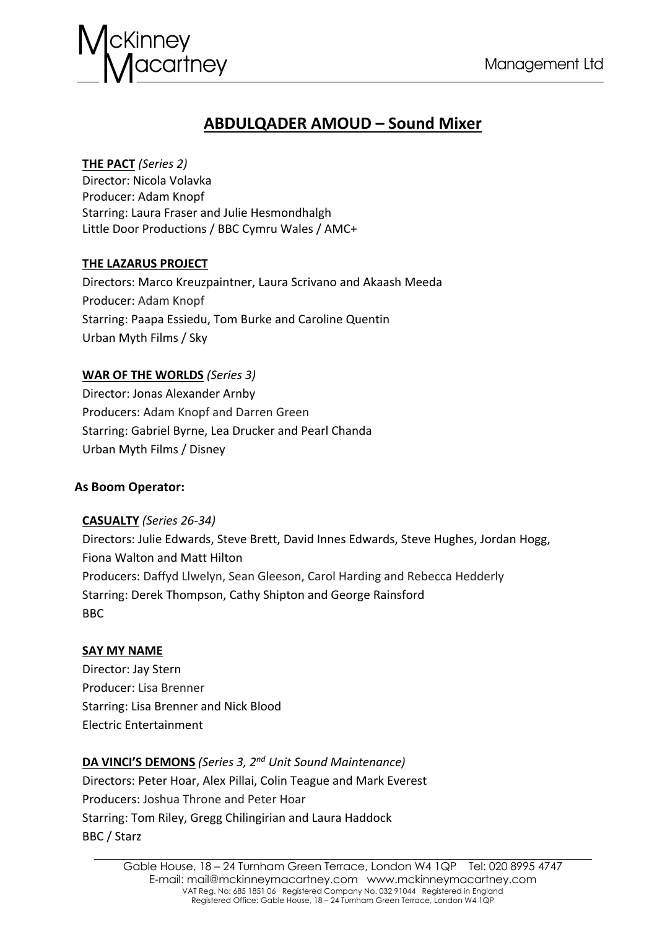

# **ABDULQADER AMOUD – Sound Mixer**

## **THE PACT** *(Series 2)*

Director: Nicola Volavka Producer: Adam Knopf Starring: Laura Fraser and Julie Hesmondhalgh Little Door Productions / BBC Cymru Wales / AMC+

## **THE LAZARUS PROJECT**

Directors: Marco Kreuzpaintner, Laura Scrivano and Akaash Meeda Producer: Adam Knopf Starring: Paapa Essiedu, Tom Burke and Caroline Quentin Urban Myth Films / Sky

## **WAR OF THE WORLDS** *(Series 3)*

Director: Jonas Alexander Arnby Producers: Adam Knopf and Darren Green Starring: Gabriel Byrne, Lea Drucker and Pearl Chanda Urban Myth Films / Disney

## **As Boom Operator:**

## **CASUALTY** *(Series 26-34)*

Directors: Julie Edwards, Steve Brett, David Innes Edwards, Steve Hughes, Jordan Hogg, Fiona Walton and Matt Hilton Producers: Daffyd Llwelyn, Sean Gleeson, Carol Harding and Rebecca Hedderly Starring: Derek Thompson, Cathy Shipton and George Rainsford BBC

## **SAY MY NAME**

Director: Jay Stern Producer: Lisa Brenner Starring: Lisa Brenner and Nick Blood Electric Entertainment

## **DA VINCI'S DEMONS** *(Series 3, 2nd Unit Sound Maintenance)*

Directors: Peter Hoar, Alex Pillai, Colin Teague and Mark Everest Producers: Joshua Throne and Peter Hoar Starring: Tom Riley, Gregg Chilingirian and Laura Haddock BBC / Starz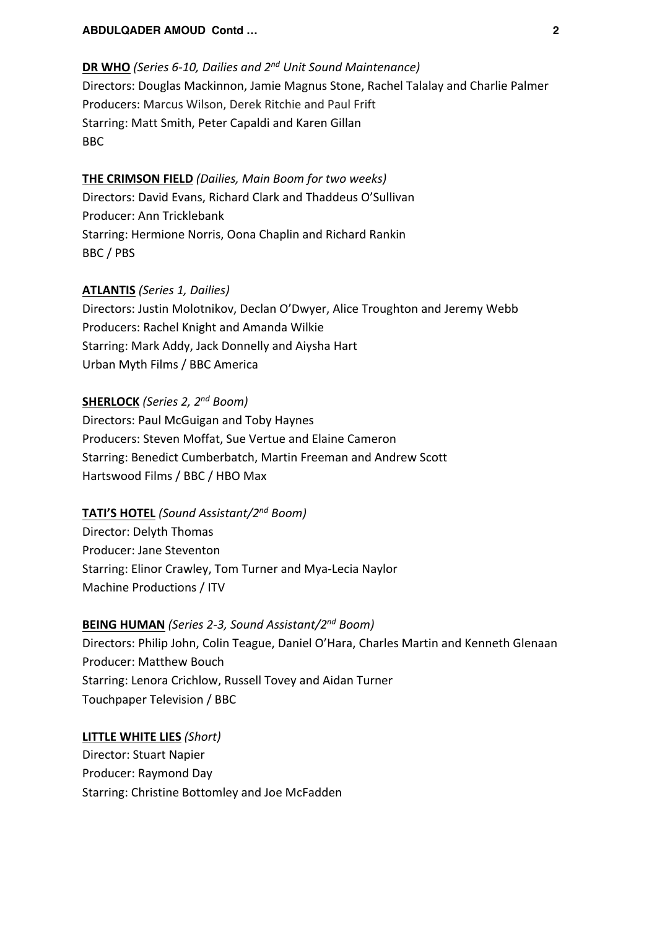#### **ABDULQADER AMOUD Contd … 2**

## **DR WHO** *(Series 6-10, Dailies and 2nd Unit Sound Maintenance)* Directors: Douglas Mackinnon, Jamie Magnus Stone, Rachel Talalay and Charlie Palmer Producers: Marcus Wilson, Derek Ritchie and Paul Frift Starring: Matt Smith, Peter Capaldi and Karen Gillan BBC

## **THE CRIMSON FIELD** *(Dailies, Main Boom for two weeks)* Directors: David Evans, Richard Clark and Thaddeus O'Sullivan Producer: Ann Tricklebank Starring: Hermione Norris, Oona Chaplin and Richard Rankin BBC / PBS

#### **ATLANTIS** *(Series 1, Dailies)*

Directors: Justin Molotnikov, Declan O'Dwyer, Alice Troughton and Jeremy Webb Producers: Rachel Knight and Amanda Wilkie Starring: Mark Addy, Jack Donnelly and Aiysha Hart Urban Myth Films / BBC America

#### **SHERLOCK** *(Series 2, 2nd Boom)*

Directors: Paul McGuigan and Toby Haynes Producers: Steven Moffat, Sue Vertue and Elaine Cameron Starring: Benedict Cumberbatch, Martin Freeman and Andrew Scott Hartswood Films / BBC / HBO Max

## **TATI'S HOTEL** *(Sound Assistant/2nd Boom)*

Director: Delyth Thomas Producer: Jane Steventon Starring: Elinor Crawley, Tom Turner and Mya-Lecia Naylor Machine Productions / ITV

## **BEING HUMAN** *(Series 2-3, Sound Assistant/2nd Boom)*

Directors: Philip John, Colin Teague, Daniel O'Hara, Charles Martin and Kenneth Glenaan Producer: Matthew Bouch Starring: Lenora Crichlow, Russell Tovey and Aidan Turner Touchpaper Television / BBC

## **LITTLE WHITE LIES** *(Short)*

Director: Stuart Napier Producer: Raymond Day Starring: Christine Bottomley and Joe McFadden